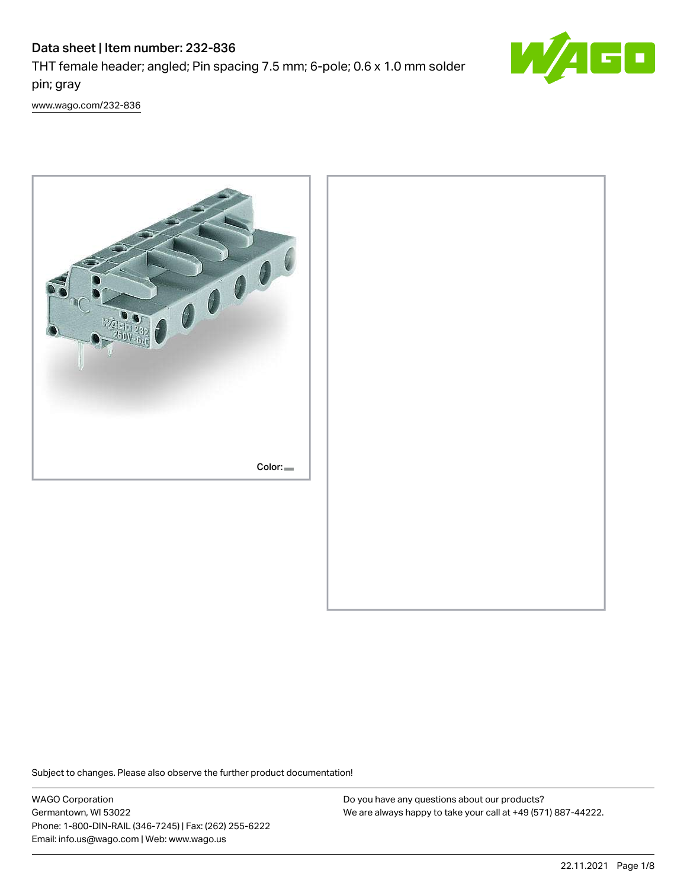# Data sheet | Item number: 232-836

THT female header; angled; Pin spacing 7.5 mm; 6-pole; 0.6 x 1.0 mm solder pin; gray



[www.wago.com/232-836](http://www.wago.com/232-836)



Subject to changes. Please also observe the further product documentation!

WAGO Corporation Germantown, WI 53022 Phone: 1-800-DIN-RAIL (346-7245) | Fax: (262) 255-6222 Email: info.us@wago.com | Web: www.wago.us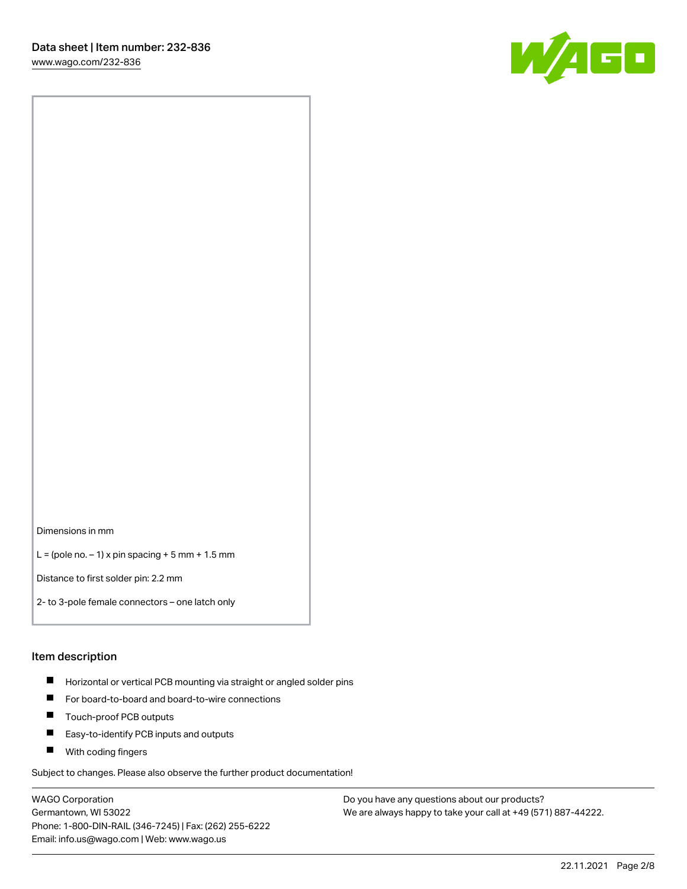

Dimensions in mm

 $L =$  (pole no.  $-1$ ) x pin spacing  $+5$  mm  $+ 1.5$  mm

Distance to first solder pin: 2.2 mm

2- to 3-pole female connectors – one latch only

#### Item description

- **Horizontal or vertical PCB mounting via straight or angled solder pins**
- For board-to-board and board-to-wire connections
- $\blacksquare$ Touch-proof PCB outputs
- $\blacksquare$ Easy-to-identify PCB inputs and outputs
- **Now With coding fingers**

Subject to changes. Please also observe the further product documentation!

WAGO Corporation Germantown, WI 53022 Phone: 1-800-DIN-RAIL (346-7245) | Fax: (262) 255-6222 Email: info.us@wago.com | Web: www.wago.us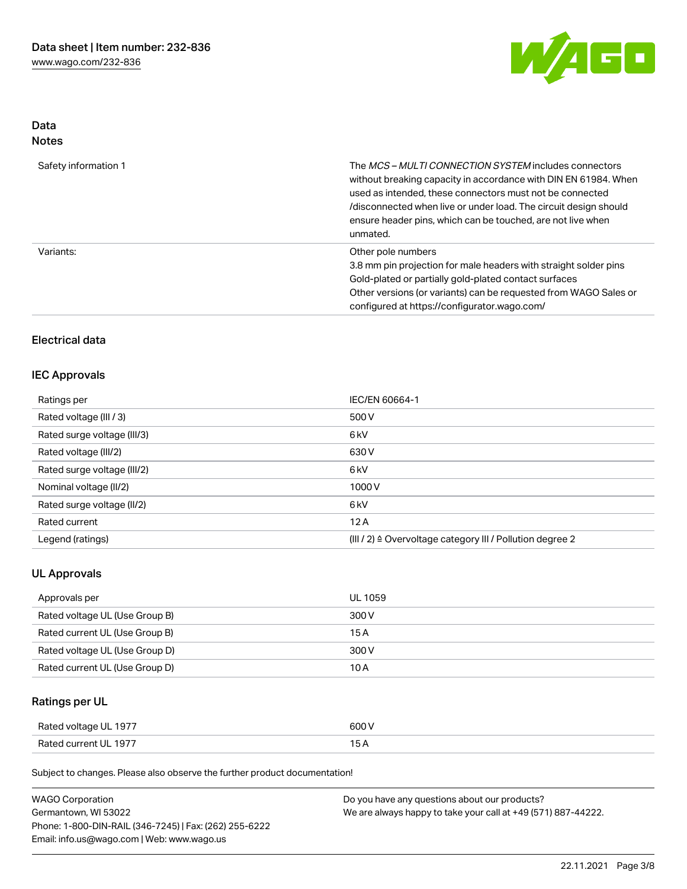

## Data Notes

| Safety information 1 | The MCS-MULTI CONNECTION SYSTEM includes connectors<br>without breaking capacity in accordance with DIN EN 61984. When<br>used as intended, these connectors must not be connected<br>/disconnected when live or under load. The circuit design should<br>ensure header pins, which can be touched, are not live when<br>unmated. |
|----------------------|-----------------------------------------------------------------------------------------------------------------------------------------------------------------------------------------------------------------------------------------------------------------------------------------------------------------------------------|
| Variants:            | Other pole numbers<br>3.8 mm pin projection for male headers with straight solder pins<br>Gold-plated or partially gold-plated contact surfaces<br>Other versions (or variants) can be requested from WAGO Sales or<br>configured at https://configurator.wago.com/                                                               |

# Electrical data

## IEC Approvals

| Ratings per                 | IEC/EN 60664-1                                                       |
|-----------------------------|----------------------------------------------------------------------|
| Rated voltage (III / 3)     | 500 V                                                                |
| Rated surge voltage (III/3) | 6 <sub>k</sub> V                                                     |
| Rated voltage (III/2)       | 630 V                                                                |
| Rated surge voltage (III/2) | 6 <sub>k</sub> V                                                     |
| Nominal voltage (II/2)      | 1000V                                                                |
| Rated surge voltage (II/2)  | 6 <sub>k</sub> V                                                     |
| Rated current               | 12A                                                                  |
| Legend (ratings)            | (III / 2) $\triangleq$ Overvoltage category III / Pollution degree 2 |

## UL Approvals

| Approvals per                  | UL 1059 |
|--------------------------------|---------|
| Rated voltage UL (Use Group B) | 300 V   |
| Rated current UL (Use Group B) | 15 A    |
| Rated voltage UL (Use Group D) | 300 V   |
| Rated current UL (Use Group D) | 10 A    |

# Ratings per UL

| Rated voltage UL 1977 | 600 V |
|-----------------------|-------|
| Rated current UL 1977 |       |

Subject to changes. Please also observe the further product documentation!

| <b>WAGO Corporation</b>                                | Do you have any questions about our products?                 |
|--------------------------------------------------------|---------------------------------------------------------------|
| Germantown, WI 53022                                   | We are always happy to take your call at +49 (571) 887-44222. |
| Phone: 1-800-DIN-RAIL (346-7245)   Fax: (262) 255-6222 |                                                               |
| Email: info.us@wago.com   Web: www.wago.us             |                                                               |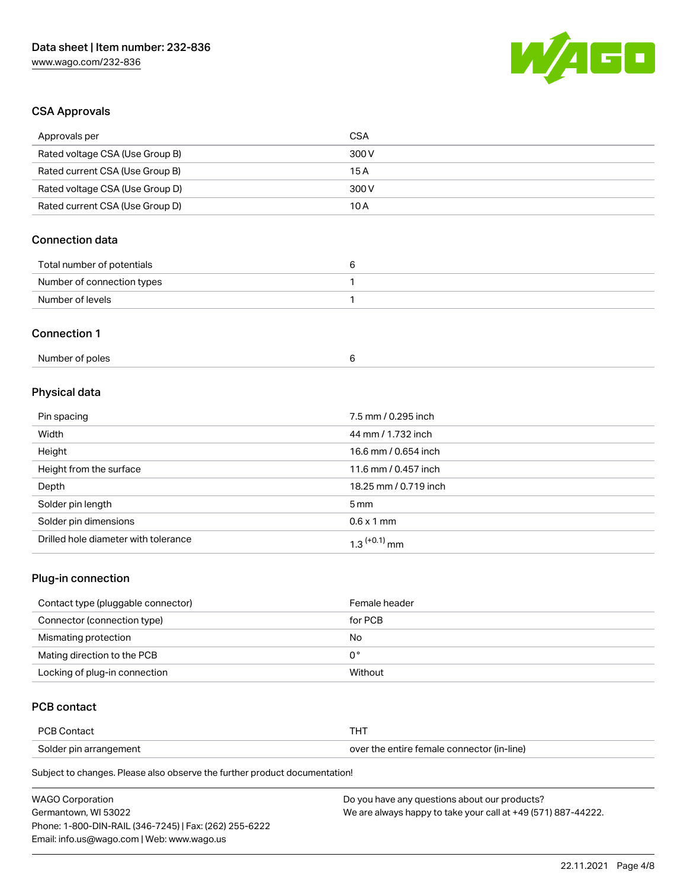

# CSA Approvals

| Approvals per                          | <b>CSA</b>            |
|----------------------------------------|-----------------------|
| Rated voltage CSA (Use Group B)        | 300 V                 |
| Rated current CSA (Use Group B)        | 15A                   |
| Rated voltage CSA (Use Group D)        | 300V                  |
| Rated current CSA (Use Group D)        | 10A                   |
| <b>Connection data</b>                 |                       |
| Total number of potentials             | $\,6\,$               |
| Number of connection types             | 1                     |
| Number of levels                       | 1                     |
| <b>Connection 1</b><br>Number of poles | 6                     |
|                                        |                       |
| Physical data                          |                       |
| Pin spacing                            | 7.5 mm / 0.295 inch   |
| Width                                  | 44 mm / 1.732 inch    |
| Height                                 | 16.6 mm / 0.654 inch  |
| Height from the surface                | 11.6 mm / 0.457 inch  |
| Depth                                  | 18.25 mm / 0.719 inch |
| Solder pin length                      | 5 <sub>mm</sub>       |
| Solder pin dimensions                  | $0.6 \times 1$ mm     |

### Plug-in connection

| Contact type (pluggable connector) | Female header |
|------------------------------------|---------------|
| Connector (connection type)        | for PCB       |
| Mismating protection               | No            |
| Mating direction to the PCB        | 0°            |
| Locking of plug-in connection      | Without       |

# PCB contact

| PCB Contact            |                                            |
|------------------------|--------------------------------------------|
| Solder pin arrangement | over the entire female connector (in-line) |

Subject to changes. Please also observe the further product documentation!

Drilled hole diameter with tolerance  $1.3$   $(+0.1)$  mm

| <b>WAGO Corporation</b>                                | Do you have any questions about our products?                 |
|--------------------------------------------------------|---------------------------------------------------------------|
| Germantown. WI 53022                                   | We are always happy to take your call at +49 (571) 887-44222. |
| Phone: 1-800-DIN-RAIL (346-7245)   Fax: (262) 255-6222 |                                                               |
| Email: info.us@wago.com   Web: www.wago.us             |                                                               |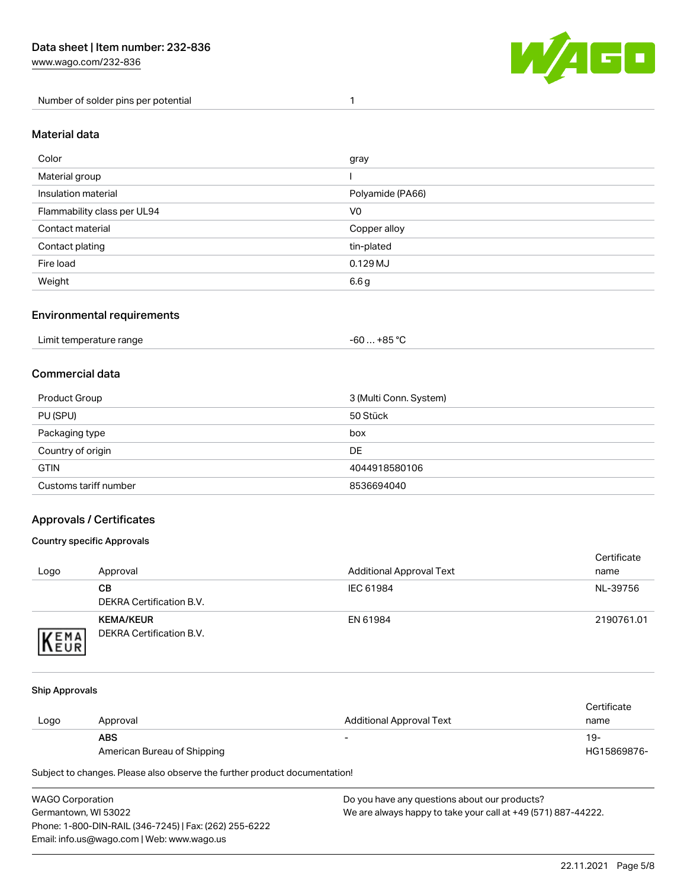Number of solder pins per potential 1



#### Material data

| Color                       | gray             |
|-----------------------------|------------------|
| Material group              |                  |
| Insulation material         | Polyamide (PA66) |
| Flammability class per UL94 | V <sub>0</sub>   |
| Contact material            | Copper alloy     |
| Contact plating             | tin-plated       |
| Fire load                   | $0.129$ MJ       |
| Weight                      | 6.6 g            |

#### Environmental requirements

| Limit temperature range<br>. | . +85 °C<br>-60 |  |
|------------------------------|-----------------|--|
|------------------------------|-----------------|--|

## Commercial data

| Product Group         | 3 (Multi Conn. System) |
|-----------------------|------------------------|
| PU (SPU)              | 50 Stück               |
| Packaging type        | box                    |
| Country of origin     | DE                     |
| <b>GTIN</b>           | 4044918580106          |
| Customs tariff number | 8536694040             |

## Approvals / Certificates

#### Country specific Approvals

| Logo                | Approval                                            | <b>Additional Approval Text</b> | Certificate<br>name |
|---------------------|-----------------------------------------------------|---------------------------------|---------------------|
|                     | CВ<br>DEKRA Certification B.V.                      | IEC 61984                       | NL-39756            |
| EMA<br><b>INEUR</b> | <b>KEMA/KEUR</b><br><b>DEKRA Certification B.V.</b> | EN 61984                        | 2190761.01          |

#### Ship Approvals

|      |                             |                          | Certificate |
|------|-----------------------------|--------------------------|-------------|
| Logo | Approval                    | Additional Approval Text | name        |
|      | <b>ABS</b>                  | -                        | 19-         |
|      | American Bureau of Shipping |                          | HG15869876- |

Subject to changes. Please also observe the further product documentation!

| WAGO Corporation                                       | Do you have any questions about our products?                 |
|--------------------------------------------------------|---------------------------------------------------------------|
| Germantown, WI 53022                                   | We are always happy to take your call at +49 (571) 887-44222. |
| Phone: 1-800-DIN-RAIL (346-7245)   Fax: (262) 255-6222 |                                                               |
| Email: info.us@wago.com   Web: www.wago.us             |                                                               |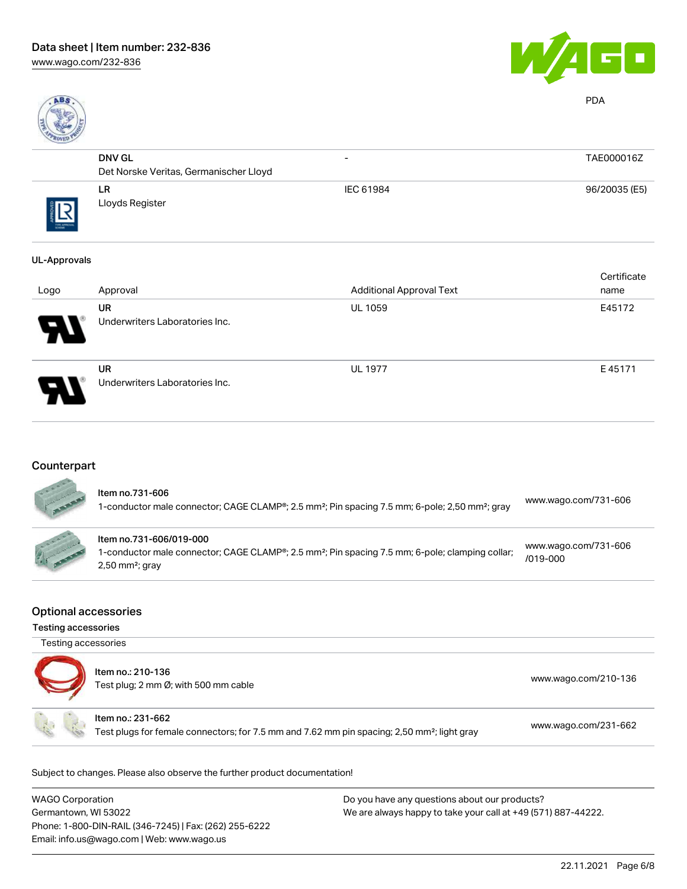



PDA

| R0150     |                                        |                          |               |
|-----------|----------------------------------------|--------------------------|---------------|
|           | <b>DNV GL</b>                          | $\overline{\phantom{0}}$ | TAE000016Z    |
|           | Det Norske Veritas, Germanischer Lloyd |                          |               |
| THE APROV | LR.<br>Lloyds Register                 | IEC 61984                | 96/20035 (E5) |

#### UL-Approvals

| Logo | Approval                                    | <b>Additional Approval Text</b> | Certificate<br>name |
|------|---------------------------------------------|---------------------------------|---------------------|
| R    | <b>UR</b><br>Underwriters Laboratories Inc. | <b>UL 1059</b>                  | E45172              |
| 8    | <b>UR</b><br>Underwriters Laboratories Inc. | <b>UL 1977</b>                  | E45171              |

# **Counterpart**

| ltem no.731-606<br>1-conductor male connector; CAGE CLAMP®; 2.5 mm <sup>2</sup> ; Pin spacing 7.5 mm; 6-pole; 2,50 mm <sup>2</sup> ; gray                               | www.wago.com/731-606                 |
|-------------------------------------------------------------------------------------------------------------------------------------------------------------------------|--------------------------------------|
| Item no.731-606/019-000<br>1-conductor male connector; CAGE CLAMP®; 2.5 mm <sup>2</sup> ; Pin spacing 7.5 mm; 6-pole; clamping collar;<br>$2,50$ mm <sup>2</sup> ; gray | www.wago.com/731-606<br>$/019 - 000$ |

#### Optional accessories

Testing accessories

| Testing accessories |                                                                                                                              |                      |
|---------------------|------------------------------------------------------------------------------------------------------------------------------|----------------------|
|                     | Item no.: 210-136<br>Test plug; 2 mm Ø; with 500 mm cable                                                                    | www.wago.com/210-136 |
|                     | Item no.: 231-662<br>Test plugs for female connectors; for 7.5 mm and 7.62 mm pin spacing; 2,50 mm <sup>2</sup> ; light gray | www.wago.com/231-662 |

Subject to changes. Please also observe the further product documentation!

| <b>WAGO Corporation</b>                                | Do you have any questions about our products?                 |
|--------------------------------------------------------|---------------------------------------------------------------|
| Germantown, WI 53022                                   | We are always happy to take your call at +49 (571) 887-44222. |
| Phone: 1-800-DIN-RAIL (346-7245)   Fax: (262) 255-6222 |                                                               |
| Email: info.us@wago.com   Web: www.wago.us             |                                                               |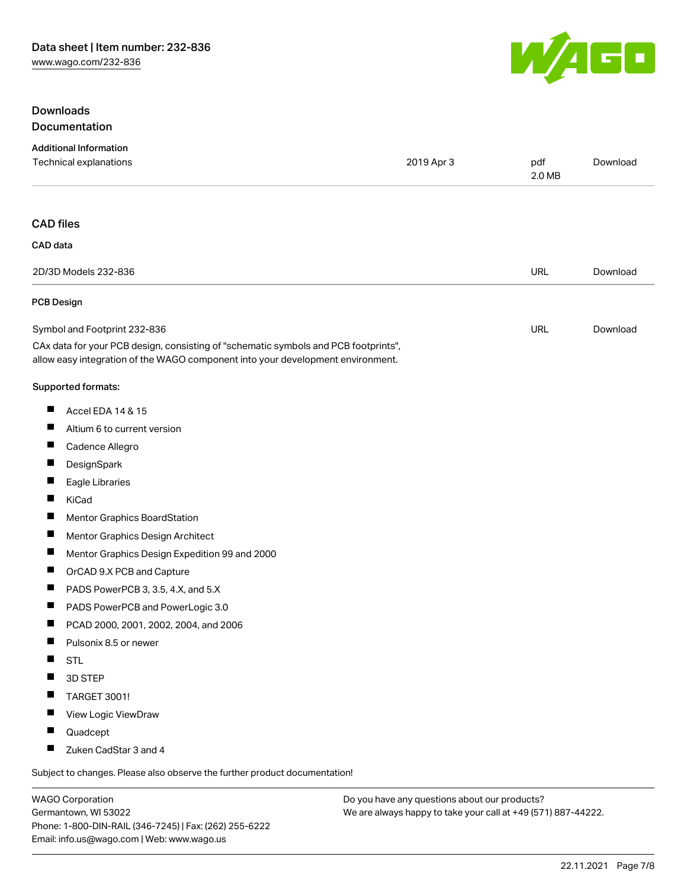

## Downloads Documentation

|                   | <b>Additional Information</b><br>Technical explanations                                                                                                                | 2019 Apr 3 | pdf<br>2.0 MB | Download |
|-------------------|------------------------------------------------------------------------------------------------------------------------------------------------------------------------|------------|---------------|----------|
| <b>CAD files</b>  |                                                                                                                                                                        |            |               |          |
| CAD data          |                                                                                                                                                                        |            |               |          |
|                   | 2D/3D Models 232-836                                                                                                                                                   |            | URL           | Download |
| <b>PCB Design</b> |                                                                                                                                                                        |            |               |          |
|                   | Symbol and Footprint 232-836                                                                                                                                           |            | URL           | Download |
|                   | CAx data for your PCB design, consisting of "schematic symbols and PCB footprints",<br>allow easy integration of the WAGO component into your development environment. |            |               |          |
|                   | Supported formats:                                                                                                                                                     |            |               |          |
| ш                 | Accel EDA 14 & 15                                                                                                                                                      |            |               |          |
| ш                 | Altium 6 to current version                                                                                                                                            |            |               |          |
|                   | Cadence Allegro                                                                                                                                                        |            |               |          |
| Ш                 | DesignSpark                                                                                                                                                            |            |               |          |
| ш                 | Eagle Libraries                                                                                                                                                        |            |               |          |
| Ш                 | KiCad                                                                                                                                                                  |            |               |          |
|                   | Mentor Graphics BoardStation                                                                                                                                           |            |               |          |
| ш                 | Mentor Graphics Design Architect                                                                                                                                       |            |               |          |
| Ш                 | Mentor Graphics Design Expedition 99 and 2000                                                                                                                          |            |               |          |
| Ш                 | OrCAD 9.X PCB and Capture                                                                                                                                              |            |               |          |
| ш                 | PADS PowerPCB 3, 3.5, 4.X, and 5.X                                                                                                                                     |            |               |          |
| Ш                 | PADS PowerPCB and PowerLogic 3.0                                                                                                                                       |            |               |          |
| $\blacksquare$    | PCAD 2000, 2001, 2002, 2004, and 2006                                                                                                                                  |            |               |          |
| ш                 | Pulsonix 8.5 or newer                                                                                                                                                  |            |               |          |
| ш                 | <b>STL</b>                                                                                                                                                             |            |               |          |
| ш                 | 3D STEP                                                                                                                                                                |            |               |          |
|                   | TARGET 3001!                                                                                                                                                           |            |               |          |
|                   | View Logic ViewDraw                                                                                                                                                    |            |               |          |
| H.                | Quadcept                                                                                                                                                               |            |               |          |
|                   | Zuken CadStar 3 and 4                                                                                                                                                  |            |               |          |
|                   | Subject to changes. Please also observe the further product documentation!                                                                                             |            |               |          |

WAGO Corporation Germantown, WI 53022 Phone: 1-800-DIN-RAIL (346-7245) | Fax: (262) 255-6222 Email: info.us@wago.com | Web: www.wago.us